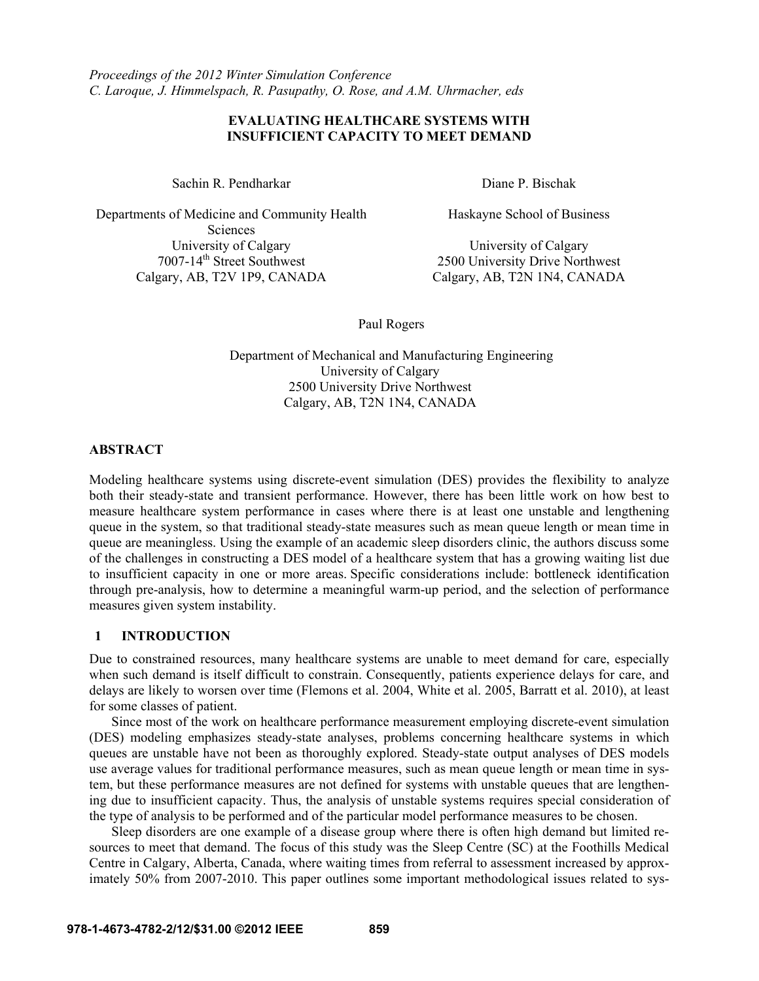# **EVALUATING HEALTHCARE SYSTEMS WITH INSUFFICIENT CAPACITY TO MEET DEMAND**

Sachin R. Pendharkar Diane P. Bischak

Departments of Medicine and Community Health Sciences University of Calgary University of Calgary 7007-14th Street Southwest Calgary, AB, T2V 1P9, CANADA

Haskayne School of Business

2500 University Drive Northwest Calgary, AB, T2N 1N4, CANADA

Paul Rogers

Department of Mechanical and Manufacturing Engineering University of Calgary 2500 University Drive Northwest Calgary, AB, T2N 1N4, CANADA

# **ABSTRACT**

Modeling healthcare systems using discrete-event simulation (DES) provides the flexibility to analyze both their steady-state and transient performance. However, there has been little work on how best to measure healthcare system performance in cases where there is at least one unstable and lengthening queue in the system, so that traditional steady-state measures such as mean queue length or mean time in queue are meaningless. Using the example of an academic sleep disorders clinic, the authors discuss some of the challenges in constructing a DES model of a healthcare system that has a growing waiting list due to insufficient capacity in one or more areas. Specific considerations include: bottleneck identification through pre-analysis, how to determine a meaningful warm-up period, and the selection of performance measures given system instability.

# **1 INTRODUCTION**

Due to constrained resources, many healthcare systems are unable to meet demand for care, especially when such demand is itself difficult to constrain. Consequently, patients experience delays for care, and delays are likely to worsen over time (Flemons et al. 2004, White et al. 2005, Barratt et al. 2010), at least for some classes of patient.

Since most of the work on healthcare performance measurement employing discrete-event simulation (DES) modeling emphasizes steady-state analyses, problems concerning healthcare systems in which queues are unstable have not been as thoroughly explored. Steady-state output analyses of DES models use average values for traditional performance measures, such as mean queue length or mean time in system, but these performance measures are not defined for systems with unstable queues that are lengthening due to insufficient capacity. Thus, the analysis of unstable systems requires special consideration of the type of analysis to be performed and of the particular model performance measures to be chosen.

Sleep disorders are one example of a disease group where there is often high demand but limited resources to meet that demand. The focus of this study was the Sleep Centre (SC) at the Foothills Medical Centre in Calgary, Alberta, Canada, where waiting times from referral to assessment increased by approximately 50% from 2007-2010. This paper outlines some important methodological issues related to sys-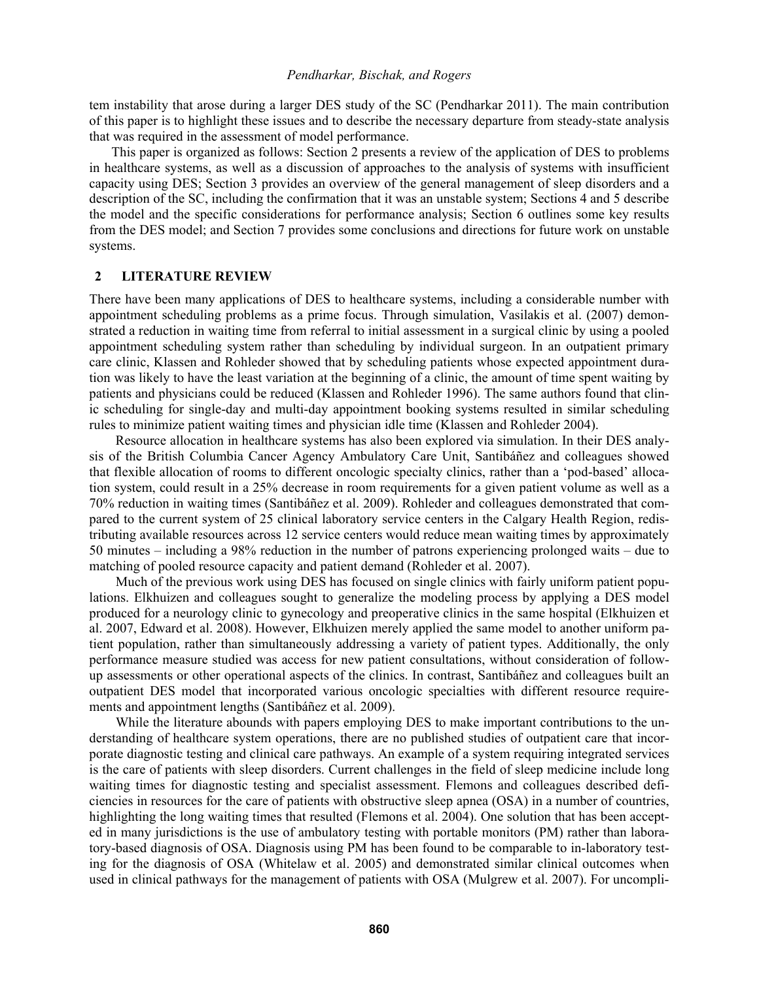tem instability that arose during a larger DES study of the SC (Pendharkar 2011). The main contribution of this paper is to highlight these issues and to describe the necessary departure from steady-state analysis that was required in the assessment of model performance.

This paper is organized as follows: Section 2 presents a review of the application of DES to problems in healthcare systems, as well as a discussion of approaches to the analysis of systems with insufficient capacity using DES; Section 3 provides an overview of the general management of sleep disorders and a description of the SC, including the confirmation that it was an unstable system; Sections 4 and 5 describe the model and the specific considerations for performance analysis; Section 6 outlines some key results from the DES model; and Section 7 provides some conclusions and directions for future work on unstable systems.

### **2 LITERATURE REVIEW**

There have been many applications of DES to healthcare systems, including a considerable number with appointment scheduling problems as a prime focus. Through simulation, Vasilakis et al. (2007) demonstrated a reduction in waiting time from referral to initial assessment in a surgical clinic by using a pooled appointment scheduling system rather than scheduling by individual surgeon. In an outpatient primary care clinic, Klassen and Rohleder showed that by scheduling patients whose expected appointment duration was likely to have the least variation at the beginning of a clinic, the amount of time spent waiting by patients and physicians could be reduced (Klassen and Rohleder 1996). The same authors found that clinic scheduling for single-day and multi-day appointment booking systems resulted in similar scheduling rules to minimize patient waiting times and physician idle time (Klassen and Rohleder 2004).

Resource allocation in healthcare systems has also been explored via simulation. In their DES analysis of the British Columbia Cancer Agency Ambulatory Care Unit, Santibáñez and colleagues showed that flexible allocation of rooms to different oncologic specialty clinics, rather than a 'pod-based' allocation system, could result in a 25% decrease in room requirements for a given patient volume as well as a 70% reduction in waiting times (Santibáñez et al. 2009). Rohleder and colleagues demonstrated that compared to the current system of 25 clinical laboratory service centers in the Calgary Health Region, redistributing available resources across 12 service centers would reduce mean waiting times by approximately 50 minutes – including a 98% reduction in the number of patrons experiencing prolonged waits – due to matching of pooled resource capacity and patient demand (Rohleder et al. 2007).

Much of the previous work using DES has focused on single clinics with fairly uniform patient populations. Elkhuizen and colleagues sought to generalize the modeling process by applying a DES model produced for a neurology clinic to gynecology and preoperative clinics in the same hospital (Elkhuizen et al. 2007, Edward et al. 2008). However, Elkhuizen merely applied the same model to another uniform patient population, rather than simultaneously addressing a variety of patient types. Additionally, the only performance measure studied was access for new patient consultations, without consideration of followup assessments or other operational aspects of the clinics. In contrast, Santibáñez and colleagues built an outpatient DES model that incorporated various oncologic specialties with different resource requirements and appointment lengths (Santibáñez et al. 2009).

While the literature abounds with papers employing DES to make important contributions to the understanding of healthcare system operations, there are no published studies of outpatient care that incorporate diagnostic testing and clinical care pathways. An example of a system requiring integrated services is the care of patients with sleep disorders. Current challenges in the field of sleep medicine include long waiting times for diagnostic testing and specialist assessment. Flemons and colleagues described deficiencies in resources for the care of patients with obstructive sleep apnea (OSA) in a number of countries, highlighting the long waiting times that resulted (Flemons et al. 2004). One solution that has been accepted in many jurisdictions is the use of ambulatory testing with portable monitors (PM) rather than laboratory-based diagnosis of OSA. Diagnosis using PM has been found to be comparable to in-laboratory testing for the diagnosis of OSA (Whitelaw et al. 2005) and demonstrated similar clinical outcomes when used in clinical pathways for the management of patients with OSA (Mulgrew et al. 2007). For uncompli-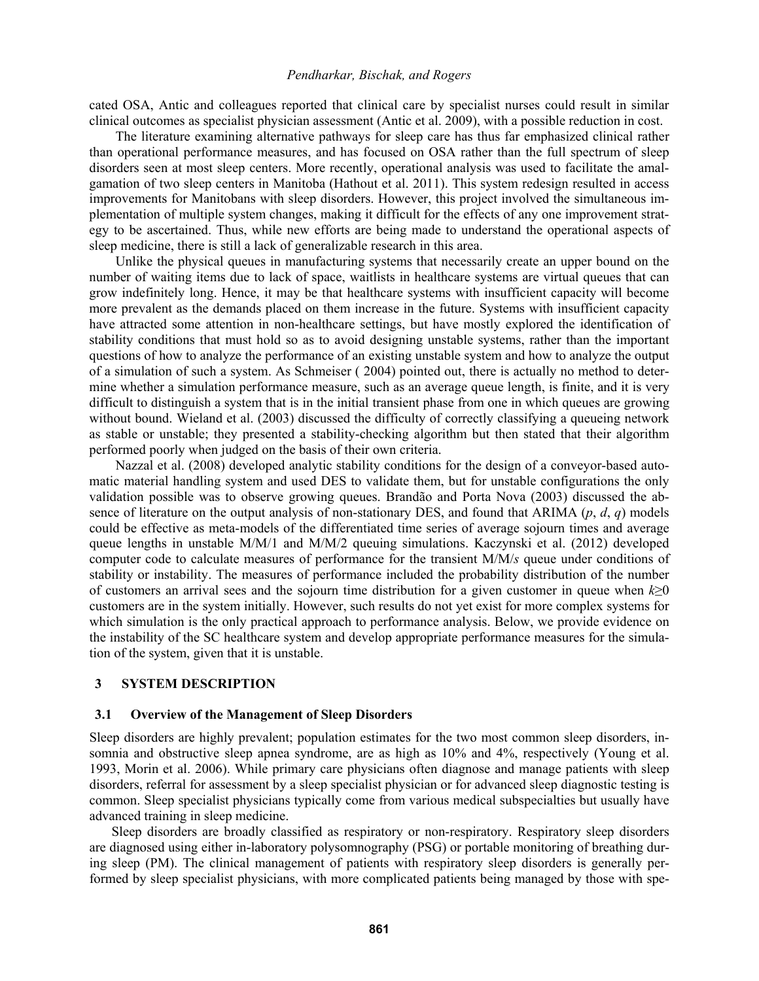cated OSA, Antic and colleagues reported that clinical care by specialist nurses could result in similar clinical outcomes as specialist physician assessment (Antic et al. 2009), with a possible reduction in cost.

The literature examining alternative pathways for sleep care has thus far emphasized clinical rather than operational performance measures, and has focused on OSA rather than the full spectrum of sleep disorders seen at most sleep centers. More recently, operational analysis was used to facilitate the amalgamation of two sleep centers in Manitoba (Hathout et al. 2011). This system redesign resulted in access improvements for Manitobans with sleep disorders. However, this project involved the simultaneous implementation of multiple system changes, making it difficult for the effects of any one improvement strategy to be ascertained. Thus, while new efforts are being made to understand the operational aspects of sleep medicine, there is still a lack of generalizable research in this area.

Unlike the physical queues in manufacturing systems that necessarily create an upper bound on the number of waiting items due to lack of space, waitlists in healthcare systems are virtual queues that can grow indefinitely long. Hence, it may be that healthcare systems with insufficient capacity will become more prevalent as the demands placed on them increase in the future. Systems with insufficient capacity have attracted some attention in non-healthcare settings, but have mostly explored the identification of stability conditions that must hold so as to avoid designing unstable systems, rather than the important questions of how to analyze the performance of an existing unstable system and how to analyze the output of a simulation of such a system. As Schmeiser ( 2004) pointed out, there is actually no method to determine whether a simulation performance measure, such as an average queue length, is finite, and it is very difficult to distinguish a system that is in the initial transient phase from one in which queues are growing without bound. Wieland et al. (2003) discussed the difficulty of correctly classifying a queueing network as stable or unstable; they presented a stability-checking algorithm but then stated that their algorithm performed poorly when judged on the basis of their own criteria.

Nazzal et al. (2008) developed analytic stability conditions for the design of a conveyor-based automatic material handling system and used DES to validate them, but for unstable configurations the only validation possible was to observe growing queues. Brandão and Porta Nova (2003) discussed the absence of literature on the output analysis of non-stationary DES, and found that ARIMA (*p*, *d*, *q*) models could be effective as meta-models of the differentiated time series of average sojourn times and average queue lengths in unstable M/M/1 and M/M/2 queuing simulations. Kaczynski et al. (2012) developed computer code to calculate measures of performance for the transient M/M/*s* queue under conditions of stability or instability. The measures of performance included the probability distribution of the number of customers an arrival sees and the sojourn time distribution for a given customer in queue when *k*≥0 customers are in the system initially. However, such results do not yet exist for more complex systems for which simulation is the only practical approach to performance analysis. Below, we provide evidence on the instability of the SC healthcare system and develop appropriate performance measures for the simulation of the system, given that it is unstable.

### **3 SYSTEM DESCRIPTION**

## **3.1 Overview of the Management of Sleep Disorders**

Sleep disorders are highly prevalent; population estimates for the two most common sleep disorders, insomnia and obstructive sleep apnea syndrome, are as high as 10% and 4%, respectively (Young et al. 1993, Morin et al. 2006). While primary care physicians often diagnose and manage patients with sleep disorders, referral for assessment by a sleep specialist physician or for advanced sleep diagnostic testing is common. Sleep specialist physicians typically come from various medical subspecialties but usually have advanced training in sleep medicine.

Sleep disorders are broadly classified as respiratory or non-respiratory. Respiratory sleep disorders are diagnosed using either in-laboratory polysomnography (PSG) or portable monitoring of breathing during sleep (PM). The clinical management of patients with respiratory sleep disorders is generally performed by sleep specialist physicians, with more complicated patients being managed by those with spe-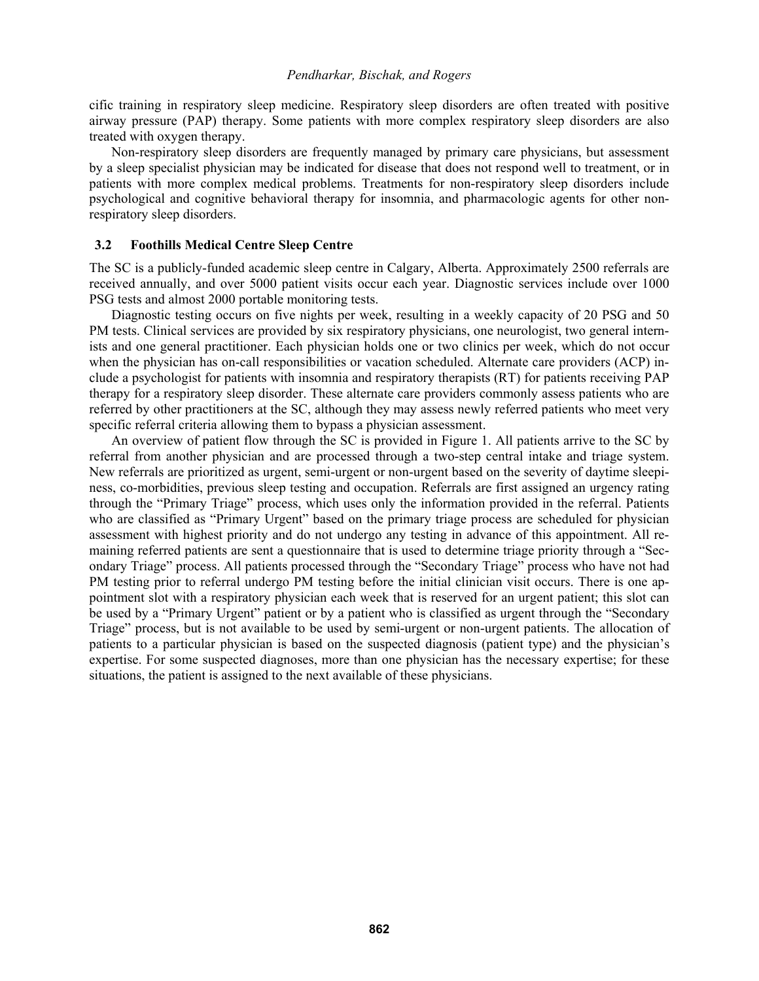cific training in respiratory sleep medicine. Respiratory sleep disorders are often treated with positive airway pressure (PAP) therapy. Some patients with more complex respiratory sleep disorders are also treated with oxygen therapy.

Non-respiratory sleep disorders are frequently managed by primary care physicians, but assessment by a sleep specialist physician may be indicated for disease that does not respond well to treatment, or in patients with more complex medical problems. Treatments for non-respiratory sleep disorders include psychological and cognitive behavioral therapy for insomnia, and pharmacologic agents for other nonrespiratory sleep disorders.

# **3.2 Foothills Medical Centre Sleep Centre**

The SC is a publicly-funded academic sleep centre in Calgary, Alberta. Approximately 2500 referrals are received annually, and over 5000 patient visits occur each year. Diagnostic services include over 1000 PSG tests and almost 2000 portable monitoring tests.

Diagnostic testing occurs on five nights per week, resulting in a weekly capacity of 20 PSG and 50 PM tests. Clinical services are provided by six respiratory physicians, one neurologist, two general internists and one general practitioner. Each physician holds one or two clinics per week, which do not occur when the physician has on-call responsibilities or vacation scheduled. Alternate care providers (ACP) include a psychologist for patients with insomnia and respiratory therapists (RT) for patients receiving PAP therapy for a respiratory sleep disorder. These alternate care providers commonly assess patients who are referred by other practitioners at the SC, although they may assess newly referred patients who meet very specific referral criteria allowing them to bypass a physician assessment.

An overview of patient flow through the SC is provided in Figure 1. All patients arrive to the SC by referral from another physician and are processed through a two-step central intake and triage system. New referrals are prioritized as urgent, semi-urgent or non-urgent based on the severity of daytime sleepiness, co-morbidities, previous sleep testing and occupation. Referrals are first assigned an urgency rating through the "Primary Triage" process, which uses only the information provided in the referral. Patients who are classified as "Primary Urgent" based on the primary triage process are scheduled for physician assessment with highest priority and do not undergo any testing in advance of this appointment. All remaining referred patients are sent a questionnaire that is used to determine triage priority through a "Secondary Triage" process. All patients processed through the "Secondary Triage" process who have not had PM testing prior to referral undergo PM testing before the initial clinician visit occurs. There is one appointment slot with a respiratory physician each week that is reserved for an urgent patient; this slot can be used by a "Primary Urgent" patient or by a patient who is classified as urgent through the "Secondary Triage" process, but is not available to be used by semi-urgent or non-urgent patients. The allocation of patients to a particular physician is based on the suspected diagnosis (patient type) and the physician's expertise. For some suspected diagnoses, more than one physician has the necessary expertise; for these situations, the patient is assigned to the next available of these physicians.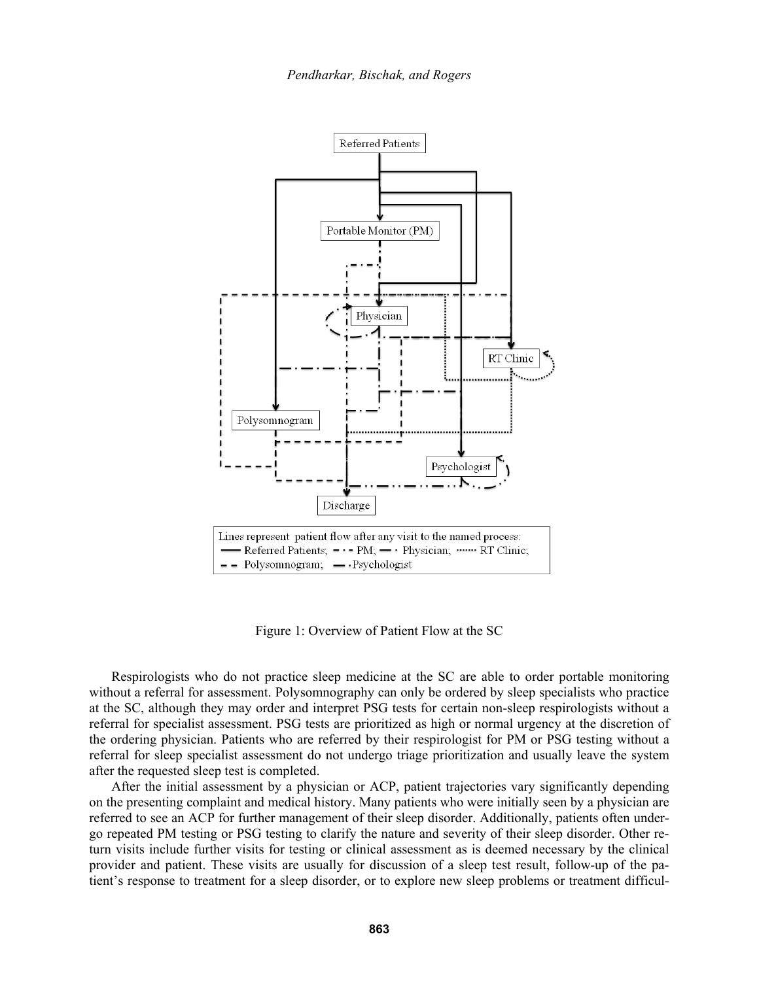

Figure 1: Overview of Patient Flow at the SC

Respirologists who do not practice sleep medicine at the SC are able to order portable monitoring without a referral for assessment. Polysomnography can only be ordered by sleep specialists who practice at the SC, although they may order and interpret PSG tests for certain non-sleep respirologists without a referral for specialist assessment. PSG tests are prioritized as high or normal urgency at the discretion of the ordering physician. Patients who are referred by their respirologist for PM or PSG testing without a referral for sleep specialist assessment do not undergo triage prioritization and usually leave the system after the requested sleep test is completed.

After the initial assessment by a physician or ACP, patient trajectories vary significantly depending on the presenting complaint and medical history. Many patients who were initially seen by a physician are referred to see an ACP for further management of their sleep disorder. Additionally, patients often undergo repeated PM testing or PSG testing to clarify the nature and severity of their sleep disorder. Other return visits include further visits for testing or clinical assessment as is deemed necessary by the clinical provider and patient. These visits are usually for discussion of a sleep test result, follow-up of the patient's response to treatment for a sleep disorder, or to explore new sleep problems or treatment difficul-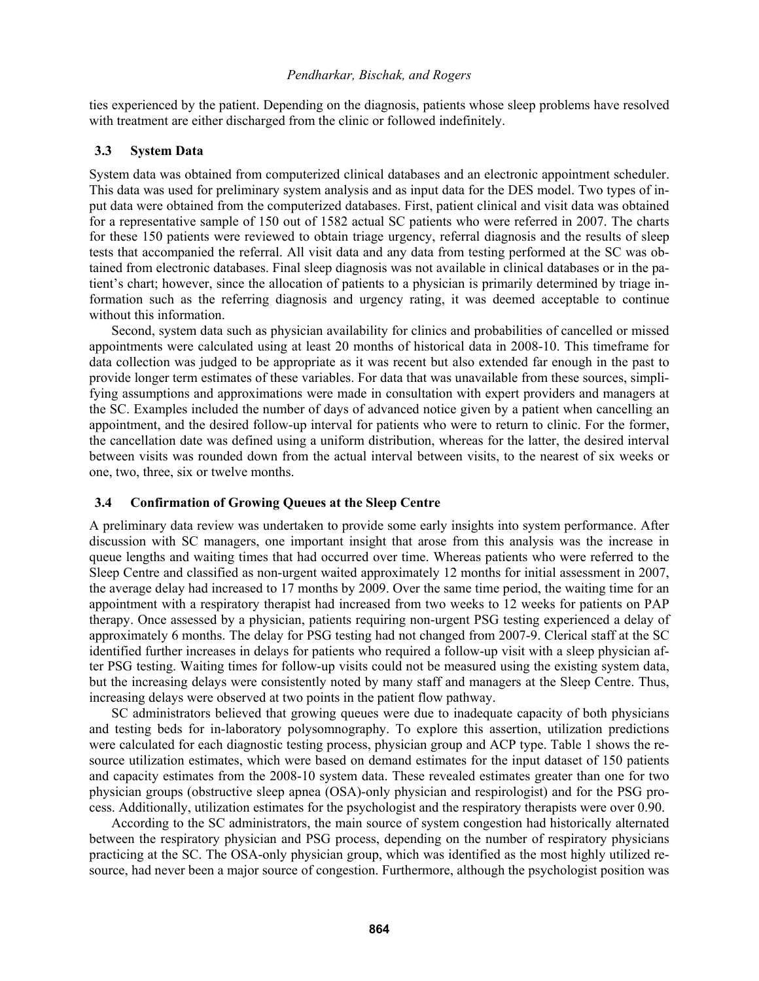ties experienced by the patient. Depending on the diagnosis, patients whose sleep problems have resolved with treatment are either discharged from the clinic or followed indefinitely.

### **3.3 System Data**

System data was obtained from computerized clinical databases and an electronic appointment scheduler. This data was used for preliminary system analysis and as input data for the DES model. Two types of input data were obtained from the computerized databases. First, patient clinical and visit data was obtained for a representative sample of 150 out of 1582 actual SC patients who were referred in 2007. The charts for these 150 patients were reviewed to obtain triage urgency, referral diagnosis and the results of sleep tests that accompanied the referral. All visit data and any data from testing performed at the SC was obtained from electronic databases. Final sleep diagnosis was not available in clinical databases or in the patient's chart; however, since the allocation of patients to a physician is primarily determined by triage information such as the referring diagnosis and urgency rating, it was deemed acceptable to continue without this information.

Second, system data such as physician availability for clinics and probabilities of cancelled or missed appointments were calculated using at least 20 months of historical data in 2008-10. This timeframe for data collection was judged to be appropriate as it was recent but also extended far enough in the past to provide longer term estimates of these variables. For data that was unavailable from these sources, simplifying assumptions and approximations were made in consultation with expert providers and managers at the SC. Examples included the number of days of advanced notice given by a patient when cancelling an appointment, and the desired follow-up interval for patients who were to return to clinic. For the former, the cancellation date was defined using a uniform distribution, whereas for the latter, the desired interval between visits was rounded down from the actual interval between visits, to the nearest of six weeks or one, two, three, six or twelve months.

## **3.4 Confirmation of Growing Queues at the Sleep Centre**

A preliminary data review was undertaken to provide some early insights into system performance. After discussion with SC managers, one important insight that arose from this analysis was the increase in queue lengths and waiting times that had occurred over time. Whereas patients who were referred to the Sleep Centre and classified as non-urgent waited approximately 12 months for initial assessment in 2007, the average delay had increased to 17 months by 2009. Over the same time period, the waiting time for an appointment with a respiratory therapist had increased from two weeks to 12 weeks for patients on PAP therapy. Once assessed by a physician, patients requiring non-urgent PSG testing experienced a delay of approximately 6 months. The delay for PSG testing had not changed from 2007-9. Clerical staff at the SC identified further increases in delays for patients who required a follow-up visit with a sleep physician after PSG testing. Waiting times for follow-up visits could not be measured using the existing system data, but the increasing delays were consistently noted by many staff and managers at the Sleep Centre. Thus, increasing delays were observed at two points in the patient flow pathway.

SC administrators believed that growing queues were due to inadequate capacity of both physicians and testing beds for in-laboratory polysomnography. To explore this assertion, utilization predictions were calculated for each diagnostic testing process, physician group and ACP type. Table 1 shows the resource utilization estimates, which were based on demand estimates for the input dataset of 150 patients and capacity estimates from the 2008-10 system data. These revealed estimates greater than one for two physician groups (obstructive sleep apnea (OSA)-only physician and respirologist) and for the PSG process. Additionally, utilization estimates for the psychologist and the respiratory therapists were over 0.90.

According to the SC administrators, the main source of system congestion had historically alternated between the respiratory physician and PSG process, depending on the number of respiratory physicians practicing at the SC. The OSA-only physician group, which was identified as the most highly utilized resource, had never been a major source of congestion. Furthermore, although the psychologist position was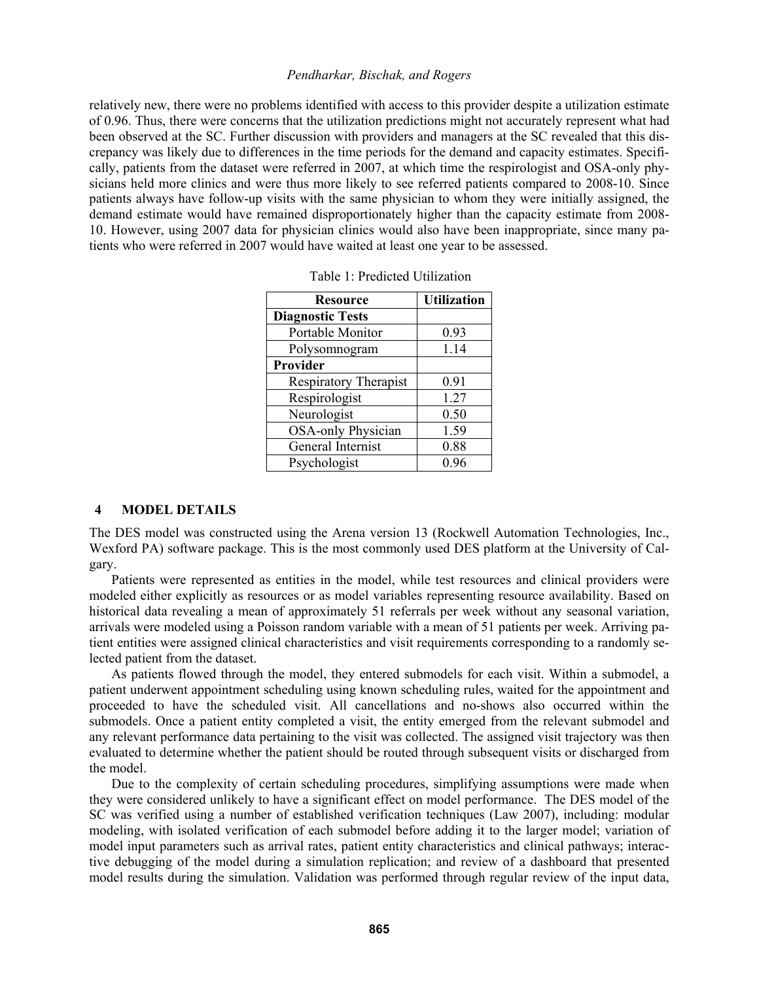relatively new, there were no problems identified with access to this provider despite a utilization estimate of 0.96. Thus, there were concerns that the utilization predictions might not accurately represent what had been observed at the SC. Further discussion with providers and managers at the SC revealed that this discrepancy was likely due to differences in the time periods for the demand and capacity estimates. Specifically, patients from the dataset were referred in 2007, at which time the respirologist and OSA-only physicians held more clinics and were thus more likely to see referred patients compared to 2008-10. Since patients always have follow-up visits with the same physician to whom they were initially assigned, the demand estimate would have remained disproportionately higher than the capacity estimate from 2008- 10. However, using 2007 data for physician clinics would also have been inappropriate, since many patients who were referred in 2007 would have waited at least one year to be assessed.

| <b>Resource</b>              | <b>Utilization</b> |
|------------------------------|--------------------|
| <b>Diagnostic Tests</b>      |                    |
| Portable Monitor             | 0.93               |
| Polysomnogram                | 1.14               |
| Provider                     |                    |
| <b>Respiratory Therapist</b> | 0.91               |
| Respirologist                | 1.27               |
| Neurologist                  | 0.50               |
| <b>OSA-only Physician</b>    | 1.59               |
| General Internist            | 0.88               |
| Psychologist                 | 0.96               |

|  |  | Table 1: Predicted Utilization |
|--|--|--------------------------------|
|--|--|--------------------------------|

## **4 MODEL DETAILS**

The DES model was constructed using the Arena version 13 (Rockwell Automation Technologies, Inc., Wexford PA) software package. This is the most commonly used DES platform at the University of Calgary.

Patients were represented as entities in the model, while test resources and clinical providers were modeled either explicitly as resources or as model variables representing resource availability. Based on historical data revealing a mean of approximately 51 referrals per week without any seasonal variation, arrivals were modeled using a Poisson random variable with a mean of 51 patients per week. Arriving patient entities were assigned clinical characteristics and visit requirements corresponding to a randomly selected patient from the dataset.

As patients flowed through the model, they entered submodels for each visit. Within a submodel, a patient underwent appointment scheduling using known scheduling rules, waited for the appointment and proceeded to have the scheduled visit. All cancellations and no-shows also occurred within the submodels. Once a patient entity completed a visit, the entity emerged from the relevant submodel and any relevant performance data pertaining to the visit was collected. The assigned visit trajectory was then evaluated to determine whether the patient should be routed through subsequent visits or discharged from the model.

Due to the complexity of certain scheduling procedures, simplifying assumptions were made when they were considered unlikely to have a significant effect on model performance. The DES model of the SC was verified using a number of established verification techniques (Law 2007), including: modular modeling, with isolated verification of each submodel before adding it to the larger model; variation of model input parameters such as arrival rates, patient entity characteristics and clinical pathways; interactive debugging of the model during a simulation replication; and review of a dashboard that presented model results during the simulation. Validation was performed through regular review of the input data,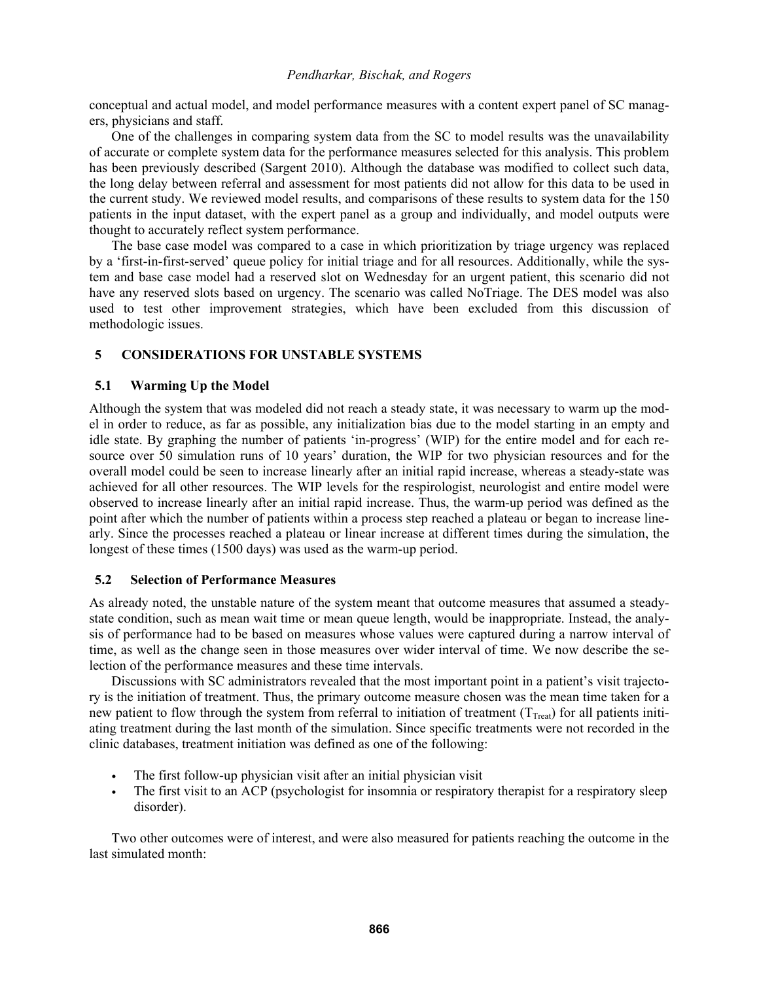conceptual and actual model, and model performance measures with a content expert panel of SC managers, physicians and staff.

One of the challenges in comparing system data from the SC to model results was the unavailability of accurate or complete system data for the performance measures selected for this analysis. This problem has been previously described (Sargent 2010). Although the database was modified to collect such data, the long delay between referral and assessment for most patients did not allow for this data to be used in the current study. We reviewed model results, and comparisons of these results to system data for the 150 patients in the input dataset, with the expert panel as a group and individually, and model outputs were thought to accurately reflect system performance.

The base case model was compared to a case in which prioritization by triage urgency was replaced by a 'first-in-first-served' queue policy for initial triage and for all resources. Additionally, while the system and base case model had a reserved slot on Wednesday for an urgent patient, this scenario did not have any reserved slots based on urgency. The scenario was called NoTriage. The DES model was also used to test other improvement strategies, which have been excluded from this discussion of methodologic issues.

# **5 CONSIDERATIONS FOR UNSTABLE SYSTEMS**

# **5.1 Warming Up the Model**

Although the system that was modeled did not reach a steady state, it was necessary to warm up the model in order to reduce, as far as possible, any initialization bias due to the model starting in an empty and idle state. By graphing the number of patients 'in-progress' (WIP) for the entire model and for each resource over 50 simulation runs of 10 years' duration, the WIP for two physician resources and for the overall model could be seen to increase linearly after an initial rapid increase, whereas a steady-state was achieved for all other resources. The WIP levels for the respirologist, neurologist and entire model were observed to increase linearly after an initial rapid increase. Thus, the warm-up period was defined as the point after which the number of patients within a process step reached a plateau or began to increase linearly. Since the processes reached a plateau or linear increase at different times during the simulation, the longest of these times (1500 days) was used as the warm-up period.

# **5.2 Selection of Performance Measures**

As already noted, the unstable nature of the system meant that outcome measures that assumed a steadystate condition, such as mean wait time or mean queue length, would be inappropriate. Instead, the analysis of performance had to be based on measures whose values were captured during a narrow interval of time, as well as the change seen in those measures over wider interval of time. We now describe the selection of the performance measures and these time intervals.

Discussions with SC administrators revealed that the most important point in a patient's visit trajectory is the initiation of treatment. Thus, the primary outcome measure chosen was the mean time taken for a new patient to flow through the system from referral to initiation of treatment ( $T_{\text{Teat}}$ ) for all patients initiating treatment during the last month of the simulation. Since specific treatments were not recorded in the clinic databases, treatment initiation was defined as one of the following:

- The first follow-up physician visit after an initial physician visit
- The first visit to an ACP (psychologist for insomnia or respiratory therapist for a respiratory sleep disorder).

Two other outcomes were of interest, and were also measured for patients reaching the outcome in the last simulated month: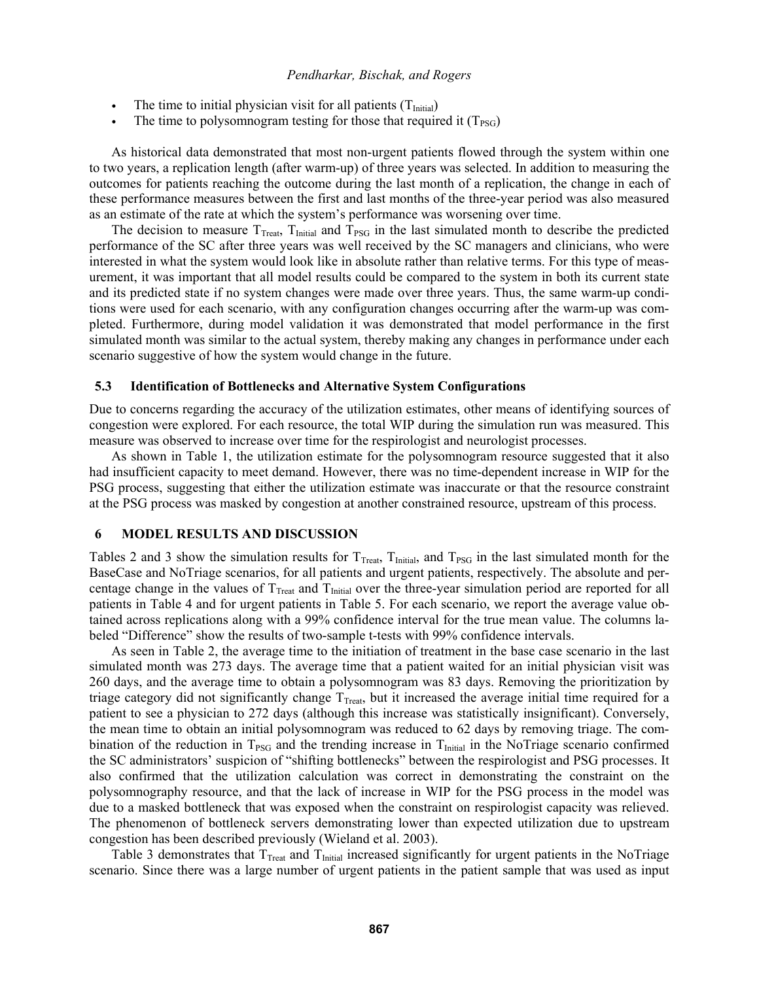- The time to initial physician visit for all patients  $(T<sub>Initial</sub>)$
- The time to polysomnogram testing for those that required it  $(T_{PSG})$

As historical data demonstrated that most non-urgent patients flowed through the system within one to two years, a replication length (after warm-up) of three years was selected. In addition to measuring the outcomes for patients reaching the outcome during the last month of a replication, the change in each of these performance measures between the first and last months of the three-year period was also measured as an estimate of the rate at which the system's performance was worsening over time.

The decision to measure  $T_{\text{Total}}$ ,  $T_{\text{Initial}}$  and  $T_{PSG}$  in the last simulated month to describe the predicted performance of the SC after three years was well received by the SC managers and clinicians, who were interested in what the system would look like in absolute rather than relative terms. For this type of measurement, it was important that all model results could be compared to the system in both its current state and its predicted state if no system changes were made over three years. Thus, the same warm-up conditions were used for each scenario, with any configuration changes occurring after the warm-up was completed. Furthermore, during model validation it was demonstrated that model performance in the first simulated month was similar to the actual system, thereby making any changes in performance under each scenario suggestive of how the system would change in the future.

#### **5.3 Identification of Bottlenecks and Alternative System Configurations**

Due to concerns regarding the accuracy of the utilization estimates, other means of identifying sources of congestion were explored. For each resource, the total WIP during the simulation run was measured. This measure was observed to increase over time for the respirologist and neurologist processes.

As shown in Table 1, the utilization estimate for the polysomnogram resource suggested that it also had insufficient capacity to meet demand. However, there was no time-dependent increase in WIP for the PSG process, suggesting that either the utilization estimate was inaccurate or that the resource constraint at the PSG process was masked by congestion at another constrained resource, upstream of this process.

#### **6 MODEL RESULTS AND DISCUSSION**

Tables 2 and 3 show the simulation results for  $T_{\text{Treat}}$ ,  $T_{\text{Initial}}$ , and  $T_{PSG}$  in the last simulated month for the BaseCase and NoTriage scenarios, for all patients and urgent patients, respectively. The absolute and percentage change in the values of  $T_{\text{Treat}}$  and  $T_{\text{Initial}}$  over the three-year simulation period are reported for all patients in Table 4 and for urgent patients in Table 5. For each scenario, we report the average value obtained across replications along with a 99% confidence interval for the true mean value. The columns labeled "Difference" show the results of two-sample t-tests with 99% confidence intervals.

As seen in Table 2, the average time to the initiation of treatment in the base case scenario in the last simulated month was 273 days. The average time that a patient waited for an initial physician visit was 260 days, and the average time to obtain a polysomnogram was 83 days. Removing the prioritization by triage category did not significantly change  $T_{\text{Teat}}$ , but it increased the average initial time required for a patient to see a physician to 272 days (although this increase was statistically insignificant). Conversely, the mean time to obtain an initial polysomnogram was reduced to 62 days by removing triage. The combination of the reduction in  $T_{PSG}$  and the trending increase in  $T_{Initial}$  in the NoTriage scenario confirmed the SC administrators' suspicion of "shifting bottlenecks" between the respirologist and PSG processes. It also confirmed that the utilization calculation was correct in demonstrating the constraint on the polysomnography resource, and that the lack of increase in WIP for the PSG process in the model was due to a masked bottleneck that was exposed when the constraint on respirologist capacity was relieved. The phenomenon of bottleneck servers demonstrating lower than expected utilization due to upstream congestion has been described previously (Wieland et al. 2003).

Table 3 demonstrates that  $T_{\text{Treat}}$  and  $T_{\text{Initial}}$  increased significantly for urgent patients in the NoTriage scenario. Since there was a large number of urgent patients in the patient sample that was used as input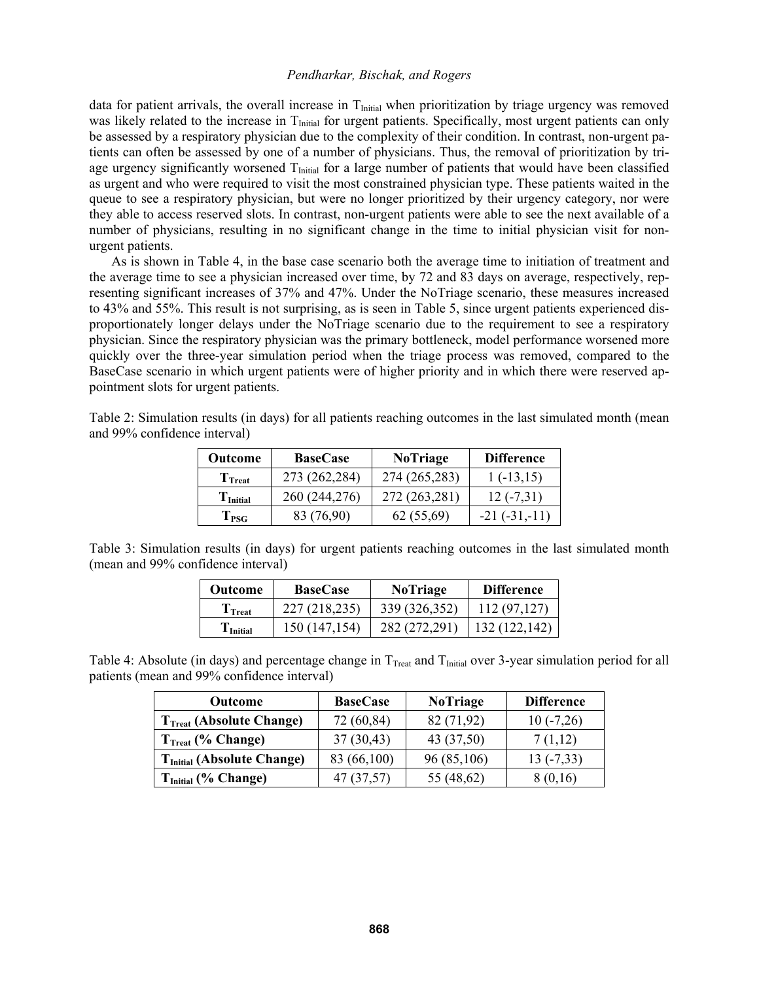data for patient arrivals, the overall increase in  $T<sub>Initial</sub>$  when prioritization by triage urgency was removed was likely related to the increase in T<sub>Initial</sub> for urgent patients. Specifically, most urgent patients can only be assessed by a respiratory physician due to the complexity of their condition. In contrast, non-urgent patients can often be assessed by one of a number of physicians. Thus, the removal of prioritization by triage urgency significantly worsened  $T<sub>Initial</sub>$  for a large number of patients that would have been classified as urgent and who were required to visit the most constrained physician type. These patients waited in the queue to see a respiratory physician, but were no longer prioritized by their urgency category, nor were they able to access reserved slots. In contrast, non-urgent patients were able to see the next available of a number of physicians, resulting in no significant change in the time to initial physician visit for nonurgent patients.

As is shown in Table 4, in the base case scenario both the average time to initiation of treatment and the average time to see a physician increased over time, by 72 and 83 days on average, respectively, representing significant increases of 37% and 47%. Under the NoTriage scenario, these measures increased to 43% and 55%. This result is not surprising, as is seen in Table 5, since urgent patients experienced disproportionately longer delays under the NoTriage scenario due to the requirement to see a respiratory physician. Since the respiratory physician was the primary bottleneck, model performance worsened more quickly over the three-year simulation period when the triage process was removed, compared to the BaseCase scenario in which urgent patients were of higher priority and in which there were reserved appointment slots for urgent patients.

Table 2: Simulation results (in days) for all patients reaching outcomes in the last simulated month (mean and 99% confidence interval)

| <b>Outcome</b>       | <b>BaseCase</b> | <b>NoTriage</b> | <b>Difference</b> |
|----------------------|-----------------|-----------------|-------------------|
| $T_{\text{Test}}$    | 273 (262,284)   | 274 (265,283)   | $1(-13,15)$       |
| $T_{\text{Initial}}$ | 260 (244,276)   | 272 (263,281)   | $12(-7,31)$       |
| $T_{PSG}$            | 83 (76,90)      | 62(55,69)       | $-21(-31,-11)$    |

Table 3: Simulation results (in days) for urgent patients reaching outcomes in the last simulated month (mean and 99% confidence interval)

| <b>Outcome</b>     | <b>BaseCase</b> | <b>NoTriage</b> | <b>Difference</b> |
|--------------------|-----------------|-----------------|-------------------|
| $T_{\text{Treat}}$ | 227 (218,235)   | 339 (326,352)   | 112 (97.127)      |
| I Initial          | 150 (147.154)   | 282 (272,291)   | 132 (122,142)     |

Table 4: Absolute (in days) and percentage change in  $T_{\text{Total}}$  and  $T_{\text{Initial}}$  over 3-year simulation period for all patients (mean and 99% confidence interval)

| <b>Outcome</b>                       | <b>BaseCase</b> | <b>NoTriage</b> | <b>Difference</b> |
|--------------------------------------|-----------------|-----------------|-------------------|
| $T_{\text{Treat}}$ (Absolute Change) | 72 (60,84)      | 82 (71,92)      | $10(-7,26)$       |
| $T_{\text{Treat}}$ (% Change)        | 37(30,43)       | 43 (37,50)      | 7(1,12)           |
| <b>T</b> Initial (Absolute Change)   | 83 (66,100)     | 96 (85,106)     | $13(-7,33)$       |
| $TInitial$ (% Change)                | 47 (37,57)      | 55 (48,62)      | 8(0,16)           |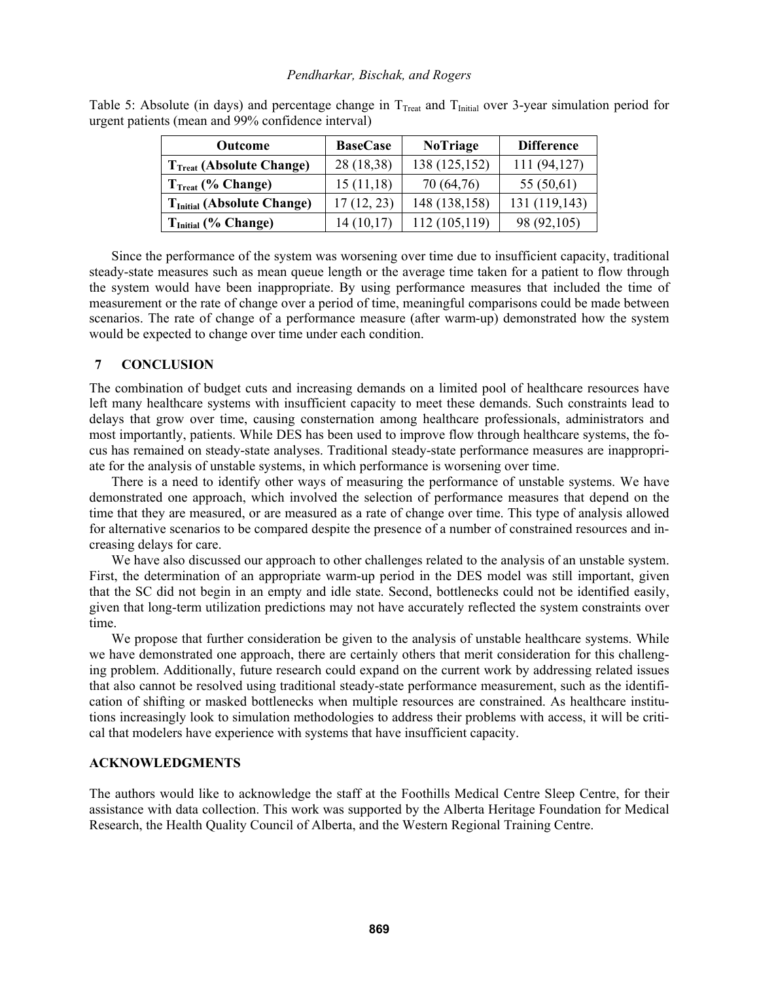| <b>Outcome</b>                       | <b>BaseCase</b> | <b>NoTriage</b> | <b>Difference</b> |
|--------------------------------------|-----------------|-----------------|-------------------|
| $T_{\text{Treat}}$ (Absolute Change) | 28 (18,38)      | 138 (125,152)   | 111 (94,127)      |
| $TTreat$ (% Change)                  | 15(11,18)       | 70 (64,76)      | 55 $(50,61)$      |
| <b>T</b> Initial (Absolute Change)   | 17(12, 23)      | 148 (138,158)   | 131 (119,143)     |
| $TInitial$ (% Change)                | 14(10,17)       | 112 (105,119)   | 98 (92,105)       |

Table 5: Absolute (in days) and percentage change in  $T_{\text{Treat}}$  and  $T_{\text{Initial}}$  over 3-year simulation period for urgent patients (mean and 99% confidence interval)

Since the performance of the system was worsening over time due to insufficient capacity, traditional steady-state measures such as mean queue length or the average time taken for a patient to flow through the system would have been inappropriate. By using performance measures that included the time of measurement or the rate of change over a period of time, meaningful comparisons could be made between scenarios. The rate of change of a performance measure (after warm-up) demonstrated how the system would be expected to change over time under each condition.

# **7 CONCLUSION**

The combination of budget cuts and increasing demands on a limited pool of healthcare resources have left many healthcare systems with insufficient capacity to meet these demands. Such constraints lead to delays that grow over time, causing consternation among healthcare professionals, administrators and most importantly, patients. While DES has been used to improve flow through healthcare systems, the focus has remained on steady-state analyses. Traditional steady-state performance measures are inappropriate for the analysis of unstable systems, in which performance is worsening over time.

There is a need to identify other ways of measuring the performance of unstable systems. We have demonstrated one approach, which involved the selection of performance measures that depend on the time that they are measured, or are measured as a rate of change over time. This type of analysis allowed for alternative scenarios to be compared despite the presence of a number of constrained resources and increasing delays for care.

We have also discussed our approach to other challenges related to the analysis of an unstable system. First, the determination of an appropriate warm-up period in the DES model was still important, given that the SC did not begin in an empty and idle state. Second, bottlenecks could not be identified easily, given that long-term utilization predictions may not have accurately reflected the system constraints over time.

We propose that further consideration be given to the analysis of unstable healthcare systems. While we have demonstrated one approach, there are certainly others that merit consideration for this challenging problem. Additionally, future research could expand on the current work by addressing related issues that also cannot be resolved using traditional steady-state performance measurement, such as the identification of shifting or masked bottlenecks when multiple resources are constrained. As healthcare institutions increasingly look to simulation methodologies to address their problems with access, it will be critical that modelers have experience with systems that have insufficient capacity.

# **ACKNOWLEDGMENTS**

The authors would like to acknowledge the staff at the Foothills Medical Centre Sleep Centre, for their assistance with data collection. This work was supported by the Alberta Heritage Foundation for Medical Research, the Health Quality Council of Alberta, and the Western Regional Training Centre.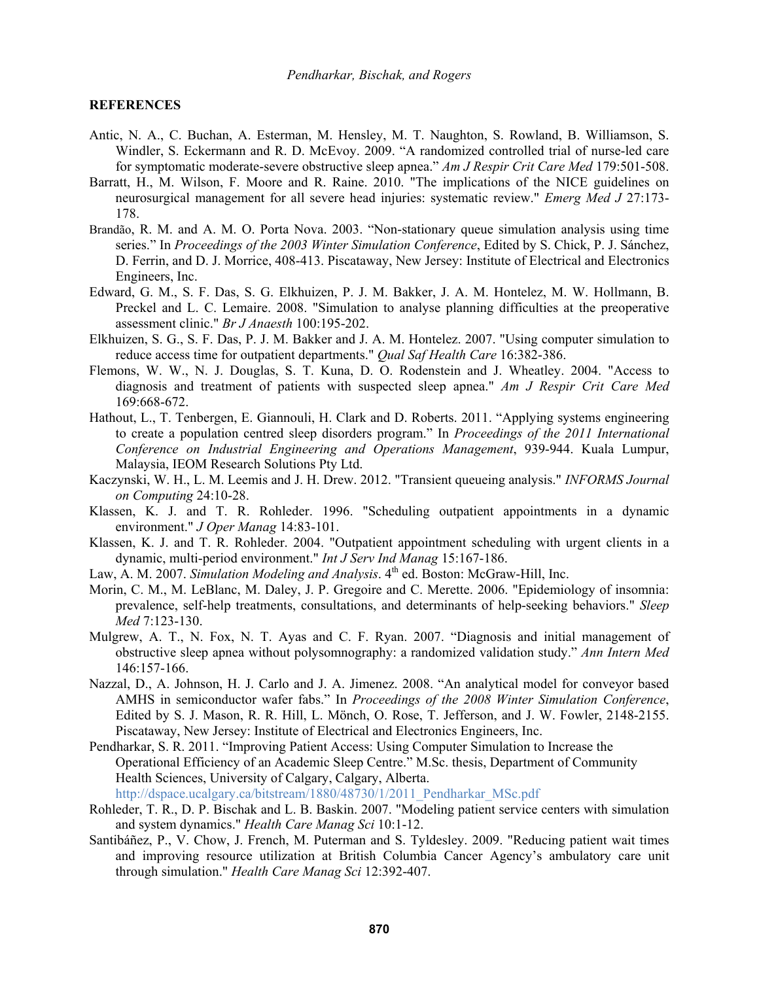### **REFERENCES**

- Antic, N. A., C. Buchan, A. Esterman, M. Hensley, M. T. Naughton, S. Rowland, B. Williamson, S. Windler, S. Eckermann and R. D. McEvoy. 2009. "A randomized controlled trial of nurse-led care for symptomatic moderate-severe obstructive sleep apnea." *Am J Respir Crit Care Med* 179:501-508.
- Barratt, H., M. Wilson, F. Moore and R. Raine. 2010. "The implications of the NICE guidelines on neurosurgical management for all severe head injuries: systematic review." *Emerg Med J* 27:173- 178.
- Brandão, R. M. and A. M. O. Porta Nova. 2003. "Non-stationary queue simulation analysis using time series." In *Proceedings of the 2003 Winter Simulation Conference*, Edited by S. Chick, P. J. Sánchez, D. Ferrin, and D. J. Morrice, 408-413. Piscataway, New Jersey: Institute of Electrical and Electronics Engineers, Inc.
- Edward, G. M., S. F. Das, S. G. Elkhuizen, P. J. M. Bakker, J. A. M. Hontelez, M. W. Hollmann, B. Preckel and L. C. Lemaire. 2008. "Simulation to analyse planning difficulties at the preoperative assessment clinic." *Br J Anaesth* 100:195-202.
- Elkhuizen, S. G., S. F. Das, P. J. M. Bakker and J. A. M. Hontelez. 2007. "Using computer simulation to reduce access time for outpatient departments." *Qual Saf Health Care* 16:382-386.
- Flemons, W. W., N. J. Douglas, S. T. Kuna, D. O. Rodenstein and J. Wheatley. 2004. "Access to diagnosis and treatment of patients with suspected sleep apnea." *Am J Respir Crit Care Med* 169:668-672.
- Hathout, L., T. Tenbergen, E. Giannouli, H. Clark and D. Roberts. 2011. "Applying systems engineering to create a population centred sleep disorders program." In *Proceedings of the 2011 International Conference on Industrial Engineering and Operations Management*, 939-944. Kuala Lumpur, Malaysia, IEOM Research Solutions Pty Ltd.
- Kaczynski, W. H., L. M. Leemis and J. H. Drew. 2012. "Transient queueing analysis." *INFORMS Journal on Computing* 24:10-28.
- Klassen, K. J. and T. R. Rohleder. 1996. "Scheduling outpatient appointments in a dynamic environment." *J Oper Manag* 14:83-101.
- Klassen, K. J. and T. R. Rohleder. 2004. "Outpatient appointment scheduling with urgent clients in a dynamic, multi-period environment." *Int J Serv Ind Manag* 15:167-186.
- Law, A. M. 2007. *Simulation Modeling and Analysis*. 4<sup>th</sup> ed. Boston: McGraw-Hill, Inc.
- Morin, C. M., M. LeBlanc, M. Daley, J. P. Gregoire and C. Merette. 2006. "Epidemiology of insomnia: prevalence, self-help treatments, consultations, and determinants of help-seeking behaviors." *Sleep Med* 7:123-130.
- Mulgrew, A. T., N. Fox, N. T. Ayas and C. F. Ryan. 2007. "Diagnosis and initial management of obstructive sleep apnea without polysomnography: a randomized validation study." *Ann Intern Med* 146:157-166.
- Nazzal, D., A. Johnson, H. J. Carlo and J. A. Jimenez. 2008. "An analytical model for conveyor based AMHS in semiconductor wafer fabs." In *Proceedings of the 2008 Winter Simulation Conference*, Edited by S. J. Mason, R. R. Hill, L. Mönch, O. Rose, T. Jefferson, and J. W. Fowler, 2148-2155. Piscataway, New Jersey: Institute of Electrical and Electronics Engineers, Inc.
- Pendharkar, S. R. 2011. "Improving Patient Access: Using Computer Simulation to Increase the Operational Efficiency of an Academic Sleep Centre." M.Sc. thesis, Department of Community Health Sciences, University of Calgary, Calgary, Alberta. http://dspace.ucalgary.ca/bitstream/1880/48730/1/2011\_Pendharkar\_MSc.pdf
- Rohleder, T. R., D. P. Bischak and L. B. Baskin. 2007. "Modeling patient service centers with simulation and system dynamics." *Health Care Manag Sci* 10:1-12.
- Santibáñez, P., V. Chow, J. French, M. Puterman and S. Tyldesley. 2009. "Reducing patient wait times and improving resource utilization at British Columbia Cancer Agency's ambulatory care unit through simulation." *Health Care Manag Sci* 12:392-407.